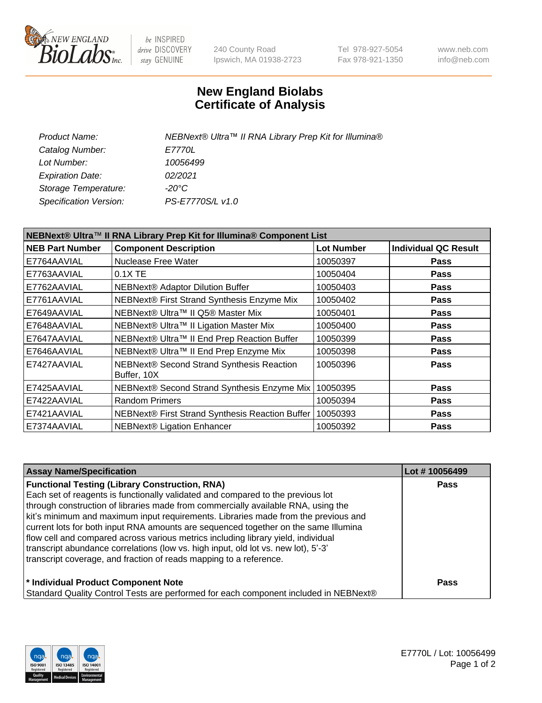

be INSPIRED drive DISCOVERY stay GENUINE

240 County Road Ipswich, MA 01938-2723 Tel 978-927-5054 Fax 978-921-1350 www.neb.com info@neb.com

## **New England Biolabs Certificate of Analysis**

| NEBNext® Ultra™ II RNA Library Prep Kit for Illumina® |
|-------------------------------------------------------|
| <i>E7770L</i>                                         |
| 10056499                                              |
| 02/2021                                               |
| -20°C                                                 |
| PS-E7770S/L v1.0                                      |
|                                                       |

| NEBNext® Ultra™ II RNA Library Prep Kit for Illumina® Component List |                                                            |                   |                             |  |
|----------------------------------------------------------------------|------------------------------------------------------------|-------------------|-----------------------------|--|
| <b>NEB Part Number</b>                                               | <b>Component Description</b>                               | <b>Lot Number</b> | <b>Individual QC Result</b> |  |
| E7764AAVIAL                                                          | Nuclease Free Water                                        | 10050397          | <b>Pass</b>                 |  |
| E7763AAVIAL                                                          | $0.1X$ TE                                                  | 10050404          | <b>Pass</b>                 |  |
| E7762AAVIAL                                                          | <b>NEBNext® Adaptor Dilution Buffer</b>                    | 10050403          | <b>Pass</b>                 |  |
| E7761AAVIAL                                                          | NEBNext® First Strand Synthesis Enzyme Mix                 | 10050402          | <b>Pass</b>                 |  |
| E7649AAVIAL                                                          | NEBNext® Ultra™ II Q5® Master Mix                          | 10050401          | <b>Pass</b>                 |  |
| E7648AAVIAL                                                          | NEBNext® Ultra™ II Ligation Master Mix                     | 10050400          | <b>Pass</b>                 |  |
| E7647AAVIAL                                                          | NEBNext® Ultra™ II End Prep Reaction Buffer                | 10050399          | <b>Pass</b>                 |  |
| E7646AAVIAL                                                          | NEBNext® Ultra™ II End Prep Enzyme Mix                     | 10050398          | <b>Pass</b>                 |  |
| E7427AAVIAL                                                          | NEBNext® Second Strand Synthesis Reaction<br>Buffer, 10X   | 10050396          | <b>Pass</b>                 |  |
| E7425AAVIAL                                                          | NEBNext® Second Strand Synthesis Enzyme Mix                | 10050395          | <b>Pass</b>                 |  |
| E7422AAVIAL                                                          | <b>Random Primers</b>                                      | 10050394          | <b>Pass</b>                 |  |
| E7421AAVIAL                                                          | NEBNext® First Strand Synthesis Reaction Buffer   10050393 |                   | <b>Pass</b>                 |  |
| E7374AAVIAL                                                          | NEBNext® Ligation Enhancer                                 | 10050392          | <b>Pass</b>                 |  |

| <b>Assay Name/Specification</b>                                                      | Lot #10056499 |
|--------------------------------------------------------------------------------------|---------------|
| <b>Functional Testing (Library Construction, RNA)</b>                                | <b>Pass</b>   |
| Each set of reagents is functionally validated and compared to the previous lot      |               |
| through construction of libraries made from commercially available RNA, using the    |               |
| kit's minimum and maximum input requirements. Libraries made from the previous and   |               |
| current lots for both input RNA amounts are sequenced together on the same Illumina  |               |
| flow cell and compared across various metrics including library yield, individual    |               |
| transcript abundance correlations (low vs. high input, old lot vs. new lot), 5'-3'   |               |
| transcript coverage, and fraction of reads mapping to a reference.                   |               |
| * Individual Product Component Note                                                  | <b>Pass</b>   |
| Standard Quality Control Tests are performed for each component included in NEBNext® |               |